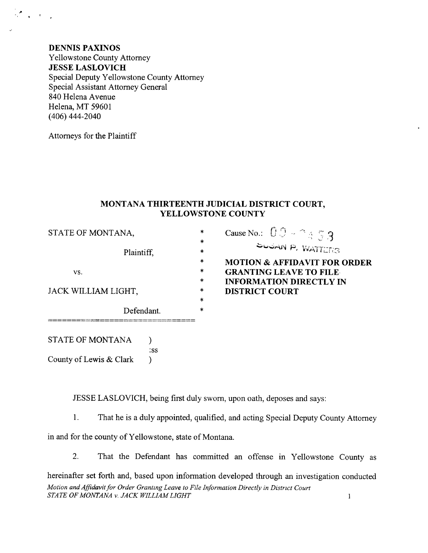**DENNIS PAXINOS Yellowstone County Attorney JESSE LASLOVICH** Special Deputy Yellowstone County Attorney Special Assistant Attorney General 840 Helena Avenue Helena, MT 59601  $(406)$  444-2040

Attorneys for the Plaintiff

 $\mathcal{L}_{\text{eff}}$ 

## MONTANA THIRTEENTH JUDICIAL DISTRICT COURT, YELLOWSTONE COUNTY

 $\ast$ ×

 $\ast$ 

 $\ast$ 

 $\ast$ 

 $\ast$ 

Cause No.:  $00 - 2853$ 

**GRANTING LEAVE TO FILE** 

**DISTRICT COURT** 

**INFORMATION DIRECTLY IN** 

SUGAN P. WATTERS

**MOTION & AFFIDAVIT FOR ORDER** 

STATE OF MONTANA,

Plaintiff,

VS.

JACK WILLIAM LIGHT,

Defendant.

**STATE OF MONTANA**  $\mathcal{L}$  $:ss$ County of Lewis & Clark  $\lambda$ 

JESSE LASLOVICH, being first duly sworn, upon oath, deposes and says:

 $1.$ That he is a duly appointed, qualified, and acting Special Deputy County Attorney

in and for the county of Yellowstone, state of Montana.

2. That the Defendant has committed an offense in Yellowstone County as

hereinafter set forth and, based upon information developed through an investigation conducted Motion and Affidavit for Order Granting Leave to File Information Directly in District Court STATE OF MONTANA v. JACK WILLIAM LIGHT  $\mathbf{1}$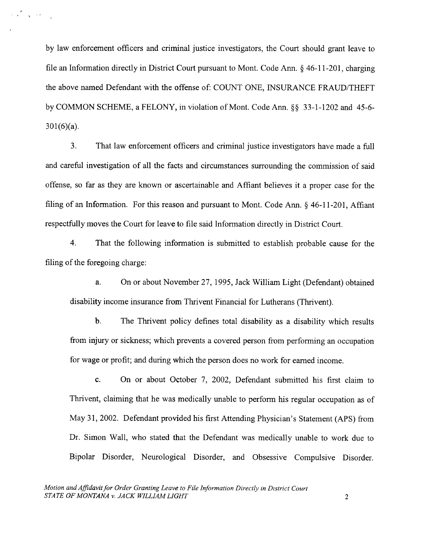by law enforcement officers and criminal justice investigators, the Court should grant leave to file an Information directly in District Court pursuant to Mont. Code Ann. § 46-11-201, charging the above named Defendant with the offense of: COUNT ONE, INSURANCE FRAUD/THEFT by COMMON SCHEME, a FELONY, in violation of Mont. Code Ann. \$\$ 33-1-1202 and 45-6- 301(6)(a).

3. That law enforcement officers and criminal justice investigators have made a fulI and careful investigation of all the facts and circumstances surrounding the commission of said offense, so far as they are known or ascertainable and Affiant believes it a proper case for the filing of an Information. For this reason and pursuant to Mont. Code Ann. § 46-11-201, Affiant respectfully moves the Court for leave to file said Information directly in District Court.

4. That the following information is submitted to establish probable cause for the filing of the foregoing charge:

a. On or about November 27,1995, Jack William Light (Defendant) obtained disability income insurance from Thrivent Financial for Lutherans (Thrivent).

b. The Thrivent policy defines total disability as a disability which results from injury or sickness; which prevents a covered person from performing an occupation for wage or profit; and during which the person does no work for eamed income.

c. On or about October 7, 2002, Defendant submitted his first claim to Thrivent, claiming that he was medically unable to perform his regular occupation as of May 31,2002. Defendant provided his first Attending Physician's Statement (APS) from Dr. Simon Wall, who stated that the Defendant was medically unable to work due to Bipolar Disorder, Neurological Disorder, and Obsessive Compulsive Disorder.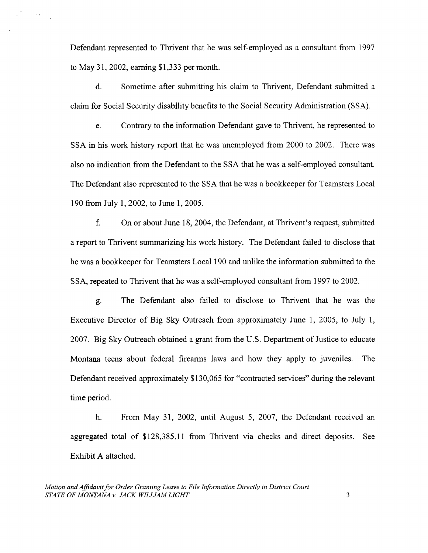Defendant represented to Thrivent that he was self-employed as a consultant from 1997 to May 31,2002, eaming \$1,333 permonth.

 $\mathcal{O}(\mathcal{O}(\log n))$ 

d. Sometime after submitting his claim to Thrivent, Defendant submitted <sup>a</sup> claim for Social Security disability benefits to the Social Security Administration (SSA).

e. Contrary to the information Defendant gave to Thrivent, he represented to SSA in his work history report that he was unemployed from 2000 to 2002. There was also no indication from the Defendant to the SSA that he was a self-employed consultant. The Defendant also represented to the SSA that he was a bookkeeper for Teamsters Local 190 from July 1, 2002, to June 1,2005.

 $f_{\cdot}$ On or about June 18,2004, the Defendant, at Thrivent's request, submitted a report to Thrivent summarizing his work history. The Defendant failed to disclose that he was a bookkeeper for Teamsters Local 190 and unlike the information submitted to the SSA, repeated to Thrivent that he was a self-employed consultant from 1997 to 2002.

g. The Defendant also failed to disclose to Thrivent that he was the Executive Director of Big Sky Outreach from approximately June 1, 2005, to July 1, <sup>2007</sup>. Big Sky Outreach obtained a grant from the U.S. Department of Justice to educate Montana teens about federal firearms laws and how they apply to juveniles. The Defendant received approximately \$130,065 for "contracted services" during the relevant time period.

h. From May 31, 2002, until August 5, 2007, the Defendant received an aggregated total of \$128,385.11 from Thrivent via checks and direct deposits. See Exhibit A attached.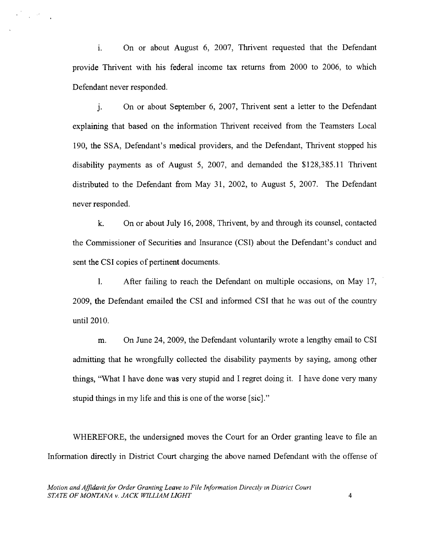i. On or about August 6, 2007, Thrivent requested that the Defendant provide Thrivent with his federal income tax returns from 2000 to 2006, to which Defendant never responded.

 $\label{eq:2} \mathbf{a}^{(2)}_{\text{max}} = \frac{1}{2} \mathbf{e}^{(2)} \mathbf{e}^{(2)} \mathbf{e}^{(2)} \mathbf{e}^{(2)}$ 

j. On or about September 6,2007, Thrivent sent a letter to the Defendant explaining that based on the information Thrivent received from the Teamsters Local 190, the SSA, Defendant's medical providers, and the Defendant, Thrivent stopped his disability payments as of August 5, 2007, and demanded the  $$128,385.11$  Thrivent distributed to the Defendant from May 31,2002, to August 5,2001. The Defendant never responded.

k. On or about July 16, 2008, Thrivent, by and through its counsel, contacted the Commissioner of Securities and Insurance (CSD about the Defendant's conduct and sent the CSI copies of pertinent documents.

l. After failing to reach the Defendant on multiple occasions, on May 17, 2009, the Defendant emailed the CSI and informed CSI that he was out of the country until 2010.

m. On June 24, 2009, the Defendant voluntarily wrote a lengthy email to CSI admitting that he wrongfully collected the disability payments by saying, among other things, "What I have done was very stupid and I regret doing it. I have done very many stupid things in my life and this is one of the worse [sic]."

WHEREFORE, the undersigned moves the Court for an Order granting leave to file an Information directly in District Court charging the above named Defendant with the offense of